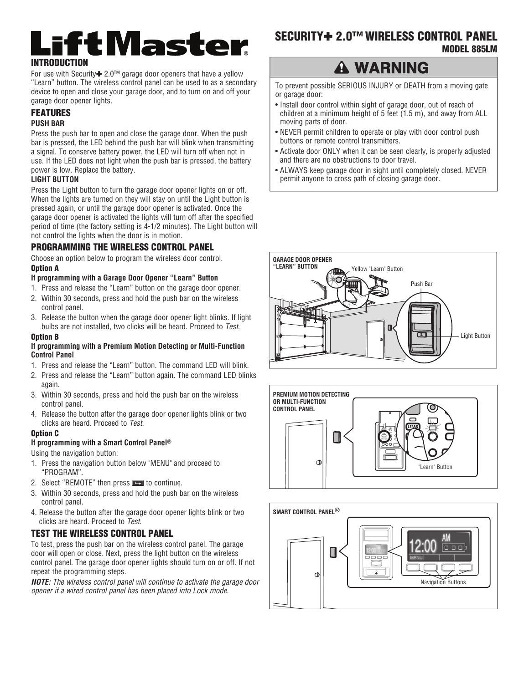# iftMaster **INTRODUCTION**

For use with Security<sup>+</sup> 2.0<sup>™</sup> garage door openers that have a yellow "Learn" button. The wireless control panel can be used to as a secondary device to open and close your garage door, and to turn on and off your garage door opener lights.

## **FEATURES PUSH BAR**

Press the push bar to open and close the garage door. When the push bar is pressed, the LED behind the push bar will blink when transmitting a signal. To conserve battery power, the LED will turn off when not in use. If the LED does not light when the push bar is pressed, the battery power is low. Replace the battery.

#### **LIGHT BUTTON**

Press the Light button to turn the garage door opener lights on or off. When the lights are turned on they will stay on until the Light button is pressed again, or until the garage door opener is activated. Once the garage door opener is activated the lights will turn off after the specified period of time (the factory setting is 4-1/2 minutes). The Light button will not control the lights when the door is in motion.

## **PROGRAMMING THE WIRELESS CONTROL PANEL**

Choose an option below to program the wireless door control.

### **Option A**

#### **If programming with a Garage Door Opener "Learn" Button**

- 1. Press and release the "Learn" button on the garage door opener.
- 2. Within 30 seconds, press and hold the push bar on the wireless control panel.
- 3. Release the button when the garage door opener light blinks. If light bulbs are not installed, two clicks will be heard. Proceed to Test.

#### **Option B**

#### **If programming with a Premium Motion Detecting or Multi-Function Control Panel**

- 1. Press and release the "Learn" button. The command LED will blink.
- 2. Press and release the "Learn" button again. The command LED blinks again.
- 3. Within 30 seconds, press and hold the push bar on the wireless control panel.
- 4. Release the button after the garage door opener lights blink or two clicks are heard. Proceed to Test.

#### **Option C**

#### **If programming with a Smart Control Panel®**

Using the navigation button:

- 1. Press the navigation button below "MENU" and proceed to "PROGRAM".
- 2. Select "REMOTE" then press **THE** to continue.
- 3. Within 30 seconds, press and hold the push bar on the wireless control panel.
- 4. Release the button after the garage door opener lights blink or two clicks are heard. Proceed to Test.

## **TEST THE WIRELESS CONTROL PANEL**

To test, press the push bar on the wireless control panel. The garage door will open or close. Next, press the light button on the wireless control panel. The garage door opener lights should turn on or off. If not repeat the programming steps.

*NOTE:* The wireless control panel will continue to activate the garage door opener if a wired control panel has been placed into Lock mode.

## **SECURITY**✚ **2.0™ WIRELESS CONTROL PANEL MODEL 885LM**

# **A WARNING**

To prevent possible SERIOUS INJURY or DEATH from a moving gate or garage door:

- Install door control within sight of garage door, out of reach of children at a minimum height of 5 feet (1.5 m), and away from ALL moving parts of door.
- NEVER permit children to operate or play with door control push buttons or remote control transmitters.
- Activate door ONLY when it can be seen clearly, is properly adjusted and there are no obstructions to door travel.
- ALWAYS keep garage door in sight until completely closed. NEVER permit anyone to cross path of closing garage door.





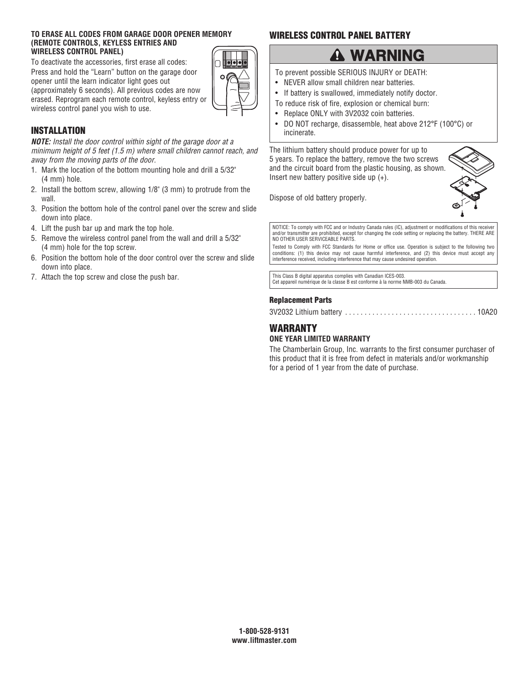#### **TO ERASE ALL CODES FROM GARAGE DOOR OPENER MEMORY (REMOTE CONTROLS, KEYLESS ENTRIES AND WIRELESS CONTROL PANEL)**

To deactivate the accessories, first erase all codes: Press and hold the "Learn" button on the garage door opener until the learn indicator light goes out (approximately 6 seconds). All previous codes are now erased. Reprogram each remote control, keyless entry or wireless control panel you wish to use.



## **INSTALLATION**

*NOTE:* Install the door control within sight of the garage door at a minimum height of 5 feet (1.5 m) where small children cannot reach, and away from the moving parts of the door.

- 1. Mark the location of the bottom mounting hole and drill a 5/32" (4 mm) hole.
- 2. Install the bottom screw, allowing 1/8" (3 mm) to protrude from the wall.
- 3. Position the bottom hole of the control panel over the screw and slide down into place.
- 4. Lift the push bar up and mark the top hole.
- 5. Remove the wireless control panel from the wall and drill a 5/32" (4 mm) hole for the top screw.
- 6. Position the bottom hole of the door control over the screw and slide down into place.
- 7. Attach the top screw and close the push bar.

## **WIRELESS CONTROL PANEL BATTERY**

# **A WARNING**

To prevent possible SERIOUS INJURY or DEATH:

- NEVER allow small children near batteries.
- If battery is swallowed, immediately notify doctor.
- To reduce risk of fire, explosion or chemical burn:
- Replace ONLY with 3V2032 coin batteries.
- DO NOT recharge, disassemble, heat above 212°F (100°C) or incinerate.

The lithium battery should produce power for up to 5 years. To replace the battery, remove the two screws and the circuit board from the plastic housing, as shown. Insert new battery positive side up  $(+)$ .

Dispose of old battery properly.



NOTICE: To comply with FCC and or Industry Canada rules (IC), adjustment or modifications of this receiver and/or transmitter are prohibited, except for changing the code setting or replacing the battery. THERE ARE NO OTHER USER SERVICEABLE PARTS.

Tested to Comply with FCC Standards for Home or office use. Operation is subject to the following two conditions: (1) this device may not cause harmful interference, and (2) this device must accept any interference received, including interference that may cause undesired operation.

This Class B digital apparatus complies with Canadian ICES-003. Cet appareil numérique de la classe B est conforme à la norme NMB-003 du Canada.

### **Replacement Parts**

3V2032 Lithium battery . . . . . . . . . . . . . . . . . . . . . . . . . . . . . . . . . . 10A20

## **WARRANTY**

#### **ONE YEAR LIMITED WARRANTY**

The Chamberlain Group, Inc. warrants to the first consumer purchaser of this product that it is free from defect in materials and/or workmanship for a period of 1 year from the date of purchase.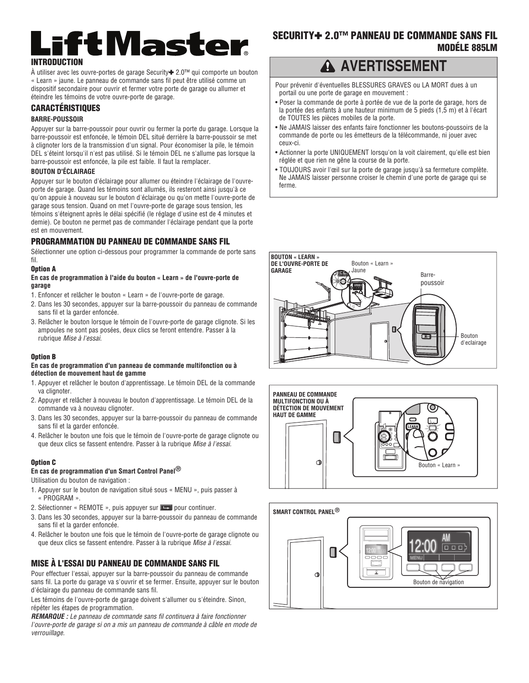# iftMaster **INTRODUCTION**

À utiliser avec les ouvre-portes de garage Security✚ 2.0™ qui comporte un bouton « Learn » jaune. Le panneau de commande sans fil peut être utilisé comme un dispositif secondaire pour ouvrir et fermer votre porte de garage ou allumer et éteindre les témoins de votre ouvre-porte de garage.

#### **CARACTÉRISTIQUES**

#### **BARRE-POUSSOIR**

Appuyer sur la barre-poussoir pour ouvrir ou fermer la porte du garage. Lorsque la barre-poussoir est enfoncée, le témoin DEL situé derrière la barre-poussoir se met à clignoter lors de la transmission d'un signal. Pour économiser la pile, le témoin DEL s'éteint lorsqu'il n'est pas utilisé. Si le témoin DEL ne s'allume pas lorsque la barre-poussoir est enfoncée, la pile est faible. Il faut la remplacer.

#### **BOUTON D'ÉCLAIRAGE**

Appuyer sur le bouton d'éclairage pour allumer ou éteindre l'éclairage de l'ouvreporte de garage. Quand les témoins sont allumés, ils resteront ainsi jusqu'à ce qu'on appuie à nouveau sur le bouton d'éclairage ou qu'on mette l'ouvre-porte de garage sous tension. Quand on met l'ouvre-porte de garage sous tension, les témoins s'éteignent après le délai spécifié (le réglage d'usine est de 4 minutes et demie). Ce bouton ne permet pas de commander l'éclairage pendant que la porte est en mouvement.

#### **PROGRAMMATION DU PANNEAU DE COMMANDE SANS FIL**

Sélectionner une option ci-dessous pour programmer la commande de porte sans fil.

#### **Option A**

#### **En cas de programmation à l'aide du bouton « Learn » de l'ouvre-porte de garage**

- 1. Enfoncer et relâcher le bouton « Learn » de l'ouvre-porte de garage.
- 2. Dans les 30 secondes, appuyer sur la barre-poussoir du panneau de commande sans fil et la garder enfoncée.
- 3. Relâcher le bouton lorsque le témoin de l'ouvre-porte de garage clignote. Si les ampoules ne sont pas posées, deux clics se feront entendre. Passer à la rubrique Mise à l'essai.

#### **Option B**

#### **En cas de programmation d'un panneau de commande multifonction ou à détection de mouvement haut de gamme**

- 1. Appuyer et relâcher le bouton d'apprentissage. Le témoin DEL de la commande va clignoter.
- 2. Appuyer et relâcher à nouveau le bouton d'apprentissage. Le témoin DEL de la commande va à nouveau clignoter.
- 3. Dans les 30 secondes, appuyer sur la barre-poussoir du panneau de commande sans fil et la garder enfoncée.
- 4. Relâcher le bouton une fois que le témoin de l'ouvre-porte de garage clignote ou que deux clics se fassent entendre. Passer à la rubrique Mise à l'essai.

#### **Option C**

#### **En cas de programmation d'un Smart Control Panel®**

Utilisation du bouton de navigation :

- 1. Appuyer sur le bouton de navigation situé sous « MENU », puis passer à « PROGRAM ».
- 2. Sélectionner « REMOTE », puis appuyer sur **DEM** pour continuer.
- 3. Dans les 30 secondes, appuyer sur la barre-poussoir du panneau de commande sans fil et la garder enfoncée.
- 4. Relâcher le bouton une fois que le témoin de l'ouvre-porte de garage clignote ou que deux clics se fassent entendre. Passer à la rubrique Mise à l'essai.

#### **MISE À L'ESSAI DU PANNEAU DE COMMANDE SANS FIL**

Pour effectuer l'essai, appuyer sur la barre-poussoir du panneau de commande sans fil. La porte du garage va s'ouvrir et se fermer. Ensuite, appuyer sur le bouton d'éclairage du panneau de commande sans fil.

Les témoins de l'ouvre-porte de garage doivent s'allumer ou s'éteindre. Sinon, répéter les étapes de programmation.

*REMARQUE :* Le panneau de commande sans fil continuera à faire fonctionner l'ouvre-porte de garage si on a mis un panneau de commande à câble en mode de verrouillage.

## **SECURITY**✚ **2.0™ PANNEAU DE COMMANDE SANS FIL MODÉLE 885LM**

## **A AVERTISSEMENT**

Pour prévenir d'éventuelles BLESSURES GRAVES ou LA MORT dues à un portail ou une porte de garage en mouvement :

- Poser la commande de porte à portée de vue de la porte de garage, hors de la portée des enfants à une hauteur minimum de 5 pieds (1,5 m) et à l'écart de TOUTES les pièces mobiles de la porte.
- Ne JAMAIS laisser des enfants faire fonctionner les boutons-poussoirs de la commande de porte ou les émetteurs de la télécommande, ni jouer avec ceux-ci.
- Actionner la porte UNIQUEMENT lorsqu'on la voit clairement, qu'elle est bien réglée et que rien ne gêne la course de la porte.
- TOUJOURS avoir l'œil sur la porte de garage jusqu'à sa fermeture complète. Ne JAMAIS laisser personne croiser le chemin d'une porte de garage qui se ferme.